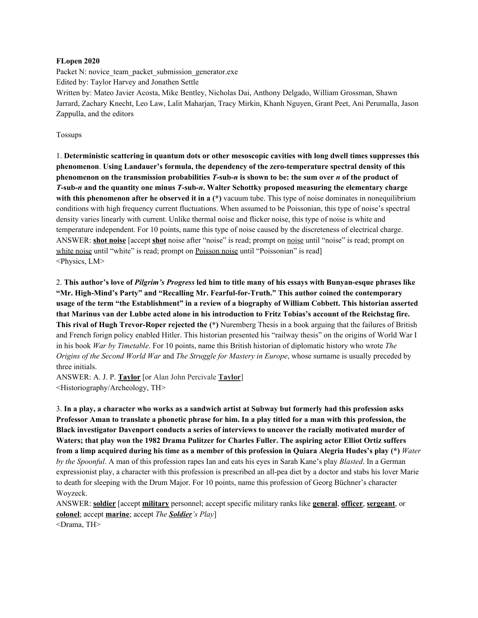#### **FLopen 2020**

Packet N: novice team\_packet\_submission\_generator.exe Edited by: Taylor Harvey and Jonathen Settle Written by: Mateo Javier Acosta, Mike Bentley, Nicholas Dai, Anthony Delgado, William Grossman, Shawn Jarrard, Zachary Knecht, Leo Law, Lalit Maharjan, Tracy Mirkin, Khanh Nguyen, Grant Peet, Ani Perumalla, Jason Zappulla, and the editors

#### Tossups

1. **Deterministic scattering in quantum dots or other mesoscopic cavities with long dwell times suppresses this phenomenon**. **Using Landauer's formula, the dependency of the zero-temperature spectral density of this** phenomenon on the transmission probabilities  $T$ -sub-n is shown to be: the sum over n of the product of T-sub-n and the quantity one minus T-sub-n. Walter Schottky proposed measuring the elementary charge **with this phenomenon after he observed it in a (\*)** vacuum tube. This type of noise dominates in nonequilibrium conditions with high frequency current fluctuations. When assumed to be Poissonian, this type of noise's spectral density varies linearly with current. Unlike thermal noise and flicker noise, this type of noise is white and temperature independent. For 10 points, name this type of noise caused by the discreteness of electrical charge. ANSWER: **shot noise** [accept **shot** noise after "noise" is read; prompt on noise until "noise" is read; prompt on white noise until "white" is read; prompt on Poisson noise until "Poissonian" is read] <Physics, LM>

2. This author's love of *Pilgrim's Progress* led him to title many of his essays with Bunyan-esque phrases like **"Mr. High-Mind's Party" and "Recalling Mr. Fearful-for-Truth." This author coined the contemporary** usage of the term "the Establishment" in a review of a biography of William Cobbett. This historian asserted that Marinus van der Lubbe acted alone in his introduction to Fritz Tobias's account of the Reichstag fire. **This rival of Hugh Trevor-Roper rejected the (\*)** Nuremberg Thesis in a book arguing that the failures of British and French forign policy enabled Hitler. This historian presented his "railway thesis" on the origins of World War I in his book *War by Timetable*. For 10 points, name this British historian of diplomatic history who wrote *The Origins of the Second World War* and *The Struggle for Mastery in Europe*, whose surname is usually preceded by three initials.

ANSWER: A. J. P. **Taylor** [or Alan John Percivale **Taylor**] <Historiography/Archeology, TH>

3. In a play, a character who works as a sandwich artist at Subway but formerly had this profession asks Professor Aman to translate a phonetic phrase for him. In a play titled for a man with this profession, the **Black investigator Davenport conducts a series of interviews to uncover the racially motivated murder of Waters; that play won the 1982 Drama Pulitzer for Charles Fuller. The aspiring actor Elliot Ortiz suffers** from a limp acquired during his time as a member of this profession in Quiara Alegria Hudes's play (\*) Water *by the Spoonful*. A man of this profession rapes Ian and eats his eyes in Sarah Kane's play *Blasted*. In a German expressionist play, a character with this profession is prescribed an all-pea diet by a doctor and stabs his lover Marie to death for sleeping with the Drum Major. For 10 points, name this profession of Georg Büchner's character Woyzeck.

ANSWER: **soldier** [accept **military** personnel; accept specific military ranks like **general**, **officer**, **sergeant**, or **colonel**; accept **marine**; accept *The Soldier's Play*] <Drama, TH>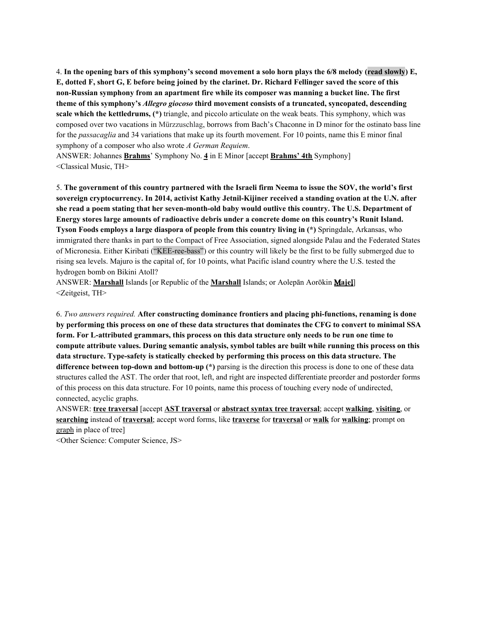4. In the opening bars of this symphony's second movement a solo horn plays the 6/8 melody (read slowly) E, E, dotted F, short G, E before being joined by the clarinet. Dr. Richard Fellinger saved the score of this **non-Russian symphony from an apartment fire while its composer was manning a bucket line. The first theme of this symphony's** *Allegro giocoso* **third movement consists of a truncated, syncopated, descending scale which the kettledrums, (\*)** triangle, and piccolo articulate on the weak beats. This symphony, which was composed over two vacations in Mürzzuschlag, borrows from Bach's Chaconne in D minor for the ostinato bass line for the *passacaglia* and 34 variations that make up its fourth movement. For 10 points, name this E minor final symphony of a composer who also wrote *A German Requiem*.

ANSWER: Johannes **Brahms**' Symphony No. **4** in E Minor [accept **Brahms' 4th** Symphony] <Classical Music, TH>

5. The government of this country partnered with the Israeli firm Neema to issue the SOV, the world's first **sovereign cryptocurrency. In 2014, activist Kathy Jetnil-Kijiner received a standing ovation at the U.N. after she read a poem stating that her seven-month-old baby would outlive this country. The U.S. Department of Energy stores large amounts of radioactive debris under a concrete dome on this country's Runit Island. Tyson Foods employs a large diaspora of people from this country living in (\*)** Springdale, Arkansas, who immigrated there thanks in part to the Compact of Free Association, signed alongside Palau and the Federated States of Micronesia. Either Kiribati ("KEE-ree-bass") or this country will likely be the first to be fully submerged due to rising sea levels. Majuro is the capital of, for 10 points, what Pacific island country where the U.S. tested the hydrogen bomb on Bikini Atoll?

ANSWER: **Marshall** Islands [or Republic of the **Marshall** Islands; or Aolepān Aorōkin Ṃ**aje**ḷ] <Zeitgeist, TH>

6. *Two answers required.* **After constructing dominance frontiers and placing phi-functions, renaming is done** by performing this process on one of these data structures that dominates the CFG to convert to minimal SSA form. For L-attributed grammars, this process on this data structure only needs to be run one time to **compute attribute values. During semantic analysis, symbol tables are built while running this process on this data structure. Type-safety is statically checked by performing this process on this data structure. The difference between top-down and bottom-up (\*)** parsing is the direction this process is done to one of these data structures called the AST. The order that root, left, and right are inspected differentiate preorder and postorder forms of this process on this data structure. For 10 points, name this process of touching every node of undirected, connected, acyclic graphs.

ANSWER: **tree traversal** [accept **AST traversal** or **abstract syntax tree traversal**; accept **walking**, **visiting**, or **searching** instead of **traversal**; accept word forms, like **traverse** for **traversal** or **walk** for **walking**; prompt on graph in place of tree]

<Other Science: Computer Science, JS>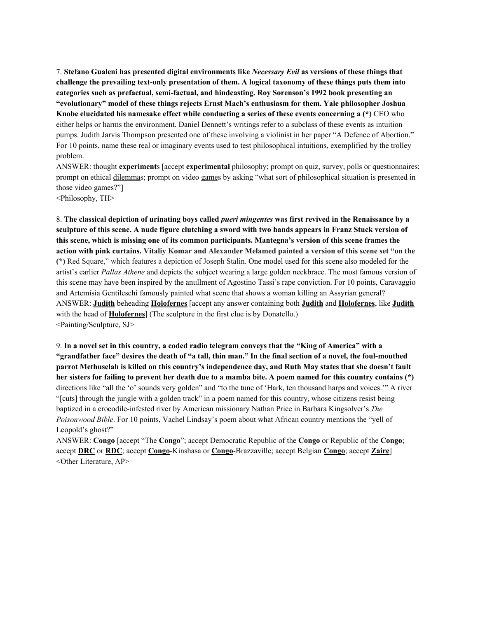7. **Stefano Gualeni has presented digital environments like** *Necessary Evil* **as versions of these things that challenge the prevailing text-only presentation of them. A logical taxonomy of these things puts them into categories such as prefactual, semi-factual, and hindcasting. Roy Sorenson's 1992 book presenting an "evolutionary" model of these things rejects Ernst Mach's enthusiasm for them. Yale philosopher Joshua Knobe elucidated his namesake effect while conducting a series of these events concerning a (\*)** CEO who either helps or harms the environment. Daniel Dennett's writings refer to a subclass of these events as intuition pumps. Judith Jarvis Thompson presented one of these involving a violinist in her paper "A Defence of Abortion." For 10 points, name these real or imaginary events used to test philosophical intuitions, exemplified by the trolley problem.

ANSWER: thought **experiment**s [accept **experimental** philosophy; prompt on quiz, survey, polls or questionnaires; prompt on ethical dilemmas; prompt on video games by asking "what sort of philosophical situation is presented in those video games?"]

<Philosophy, TH>

8. The classical depiction of urinating boys called *pueri mingentes* was first revived in the Renaissance by a sculpture of this scene. A nude figure clutching a sword with two hands appears in Franz Stuck version of **this scene, which is missing one of its common participants. Mantegna's version of this scene frames the** action with pink curtains. Vitaliy Komar and Alexander Melamed painted a version of this scene set "on the **(\*)** Red Square," which features a depiction of Joseph Stalin. One model used for this scene also modeled for the artist's earlier *Pallas Athene* and depicts the subject wearing a large golden neckbrace. The most famous version of this scene may have been inspired by the anullment of Agostino Tassi's rape conviction. For 10 points, Caravaggio and Artemisia Gentileschi famously painted what scene that shows a woman killing an Assyrian general? ANSWER: **Judith** beheading **Holofernes** [accept any answer containing both **Judith** and **Holofernes**, like **Judith** with the head of **Holofernes**] (The sculpture in the first clue is by Donatello.) <Painting/Sculpture, SJ>

9. In a novel set in this country, a coded radio telegram conveys that the "King of America" with a "grandfather face" desires the death of "a tall, thin man." In the final section of a novel, the foul-mouthed parrot Methuselah is killed on this country's independence day, and Ruth May states that she doesn't fault her sisters for failing to prevent her death due to a mamba bite. A poem named for this country contains (\*) directions like "all the 'o' sounds very golden" and "to the tune of 'Hark, ten thousand harps and voices.'" A river "[cuts] through the jungle with a golden track" in a poem named for this country, whose citizens resist being baptized in a crocodile-infested river by American missionary Nathan Price in Barbara Kingsolver's *The Poisonwood Bible*. For 10 points, Vachel Lindsay's poem about what African country mentions the "yell of Leopold's ghost?"

ANSWER: **Congo** [accept "The **Congo**"; accept Democratic Republic of the **Congo** or Republic of the **Congo**; accept **DRC** or **RDC**; accept **Congo**-Kinshasa or **Congo**-Brazzaville; accept Belgian **Congo**; accept **Zaire**] <Other Literature, AP>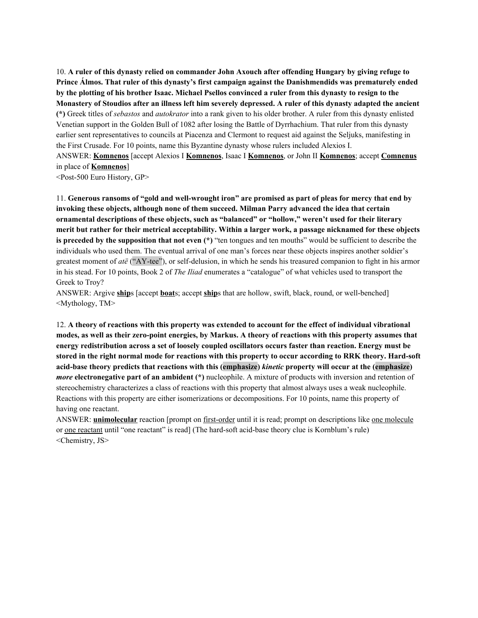10. **A ruler of this dynasty relied on commander John Axouch after offending Hungary by giving refuge to Prince Álmos. That ruler of this dynasty's first campaign against the Danishmendids was prematurely ended** by the plotting of his brother Isaac. Michael Psellos convinced a ruler from this dynasty to resign to the Monastery of Stoudios after an illness left him severely depressed. A ruler of this dynasty adapted the ancient **(\*)** Greek titles of *sebastos* and *autokrator* into a rank given to his older brother. A ruler from this dynasty enlisted Venetian support in the Golden Bull of 1082 after losing the Battle of Dyrrhachium. That ruler from this dynasty earlier sent representatives to councils at Piacenza and Clermont to request aid against the Seljuks, manifesting in the First Crusade. For 10 points, name this Byzantine dynasty whose rulers included Alexios I. ANSWER: **Komnenos** [accept Alexios I **Komnenos**, Isaac I **Komnenos**, or John II **Komnenos**; accept **Comnenus** in place of **Komnenos**]

<Post-500 Euro History, GP>

11. Generous ransoms of "gold and well-wrought iron" are promised as part of pleas for mercy that end by **invoking these objects, although none of them succeed. Milman Parry advanced the idea that certain ornamental descriptions of these objects, such as "balanced" or "hollow," weren't used for their literary** merit but rather for their metrical acceptability. Within a larger work, a passage nicknamed for these objects **is preceded by the supposition that not even (\*)** "ten tongues and ten mouths" would be sufficient to describe the individuals who used them. The eventual arrival of one man's forces near these objects inspires another soldier's greatest moment of *atë* ("AY-tee"), or self-delusion, in which he sends his treasured companion to fight in his armor in his stead. For 10 points, Book 2 of *The Iliad* enumerates a "catalogue" of what vehicles used to transport the Greek to Troy?

ANSWER: Argive **ship**s [accept **boat**s; accept **ship**s that are hollow, swift, black, round, or well-benched] <Mythology, TM>

12. A theory of reactions with this property was extended to account for the effect of individual vibrational modes, as well as their zero-point energies, by Markus. A theory of reactions with this property assumes that **energy redistribution across a set of loosely coupled oscillators occurs faster than reaction. Energy must be** stored in the right normal mode for reactions with this property to occur according to RRK theory. Hard-soft **acid-base theory predicts that reactions with this (emphasize)** *kinetic* **property will occur at the (emphasize)** *more* **electronegative part of an ambident (\*)** nucleophile. A mixture of products with inversion and retention of stereochemistry characterizes a class of reactions with this property that almost always uses a weak nucleophile. Reactions with this property are either isomerizations or decompositions. For 10 points, name this property of having one reactant.

ANSWER: **unimolecular** reaction [prompt on <u>first-order</u> until it is read; prompt on descriptions like <u>one molecule</u> or one reactant until "one reactant" is read] (The hard-soft acid-base theory clue is Kornblum's rule) <Chemistry, JS>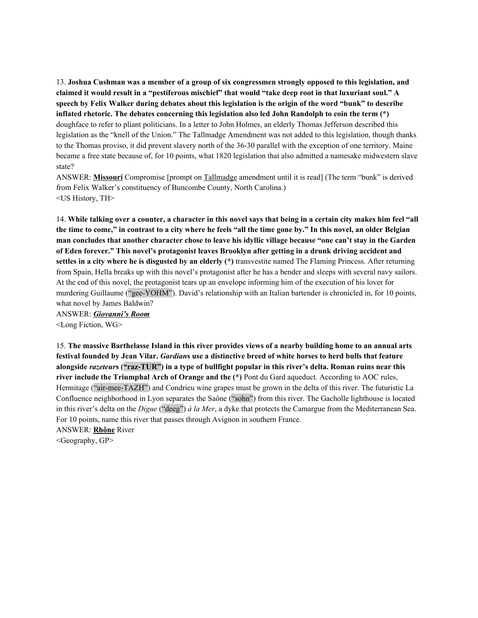13. **Joshua Cushman was a member of a group of six congressmen strongly opposed to this legislation, and** claimed it would result in a "pestiferous mischief" that would "take deep root in that luxuriant soul." A speech by Felix Walker during debates about this legislation is the origin of the word "bunk" to describe **inflated rhetoric. The debates concerning this legislation also led John Randolph to coin the term (\*)** doughface to refer to pliant politicians. In a letter to John Holmes, an elderly Thomas Jefferson described this legislation as the "knell of the Union." The Tallmadge Amendment was not added to this legislation, though thanks to the Thomas proviso, it did prevent slavery north of the 36-30 parallel with the exception of one territory. Maine became a free state because of, for 10 points, what 1820 legislation that also admitted a namesake midwestern slave state?

ANSWER: **Missouri** Compromise [prompt on Tallmadge amendment until it is read] (The term "bunk" is derived from Felix Walker's constituency of Buncombe County, North Carolina.) <US History, TH>

14. While talking over a counter, a character in this novel says that being in a certain city makes him feel "all the time to come," in contrast to a city where he feels "all the time gone by." In this novel, an older Belgian man concludes that another character chose to leave his idyllic village because "one can't stay in the Garden **of Eden forever." This novel's protagonist leaves Brooklyn after getting in a drunk driving accident and settles in a city where he is disgusted by an elderly (\*)** transvestite named The Flaming Princess. After returning from Spain, Hella breaks up with this novel's protagonist after he has a bender and sleeps with several navy sailors. At the end of this novel, the protagonist tears up an envelope informing him of the execution of his lover for murdering Guillaume ("gee-YOHM"). David's relationship with an Italian bartender is chronicled in, for 10 points, what novel by James Baldwin?

ANSWER: *Giovanni's Room* <Long Fiction, WG>

15. The massive Barthelasse Island in this river provides views of a nearby building home to an annual arts festival founded by Jean Vilar. Gardians use a distinctive breed of white horses to herd bulls that feature alongside razeteurs ("raz-TUR") in a type of bullfight popular in this river's delta. Roman ruins near this **river include the Triumphal Arch of Orange and the (\*)** Pont du Gard aqueduct. According to AOC rules, Hermitage ("air-mee-TAZH") and Condrieu wine grapes must be grown in the delta of this river. The futuristic La Confluence neighborhood in Lyon separates the Saône ("sohn") from this river. The Gacholle lighthouse is located in this river's delta on the *Digue* ("deeg") *à la Mer*, a dyke that protects the Camargue from the Mediterranean Sea. For 10 points, name this river that passes through Avignon in southern France. ANSWER: **Rhône** River

<Geography, GP>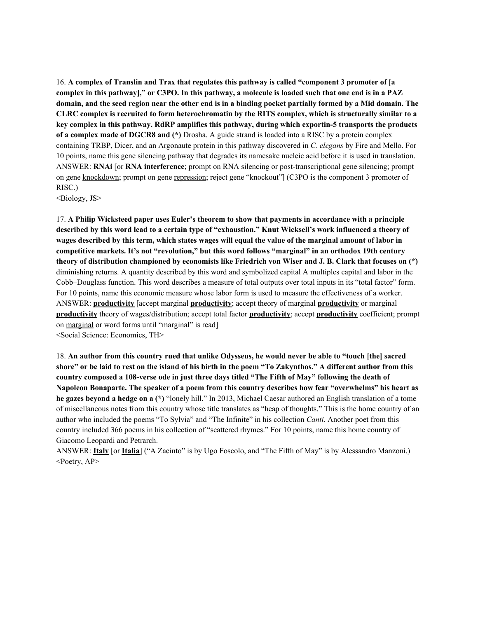16. **A complex of Translin and Trax that regulates this pathway is called "component 3 promoter of [a** complex in this pathway]," or C3PO. In this pathway, a molecule is loaded such that one end is in a PAZ domain, and the seed region near the other end is in a binding pocket partially formed by a Mid domain. The **CLRC complex is recruited to form heterochromatin by the RITS complex, which is structurally similar to a key complex in this pathway. RdRP amplifies this pathway, during which exportin-5 transports the products of a complex made of DGCR8 and (\*)** Drosha. A guide strand is loaded into a RISC by a protein complex containing TRBP, Dicer, and an Argonaute protein in this pathway discovered in *C. elegans* by Fire and Mello. For 10 points, name this gene silencing pathway that degrades its namesake nucleic acid before it is used in translation. ANSWER: **RNAi** [or **RNA interference**; prompt on RNA silencing or post-transcriptional gene silencing; prompt on gene knockdown; prompt on gene repression; reject gene "knockout"] (C3PO is the component 3 promoter of RISC.)

<Biology, JS>

17. **A Philip Wicksteed paper uses Euler's theorem to show that payments in accordance with a principle** described by this word lead to a certain type of "exhaustion." Knut Wicksell's work influenced a theory of wages described by this term, which states wages will equal the value of the marginal amount of labor in **competitive markets. It's not "revolution," but this word follows "marginal" in an orthodox 19th century** theory of distribution championed by economists like Friedrich von Wiser and J. B. Clark that focuses on (\*) diminishing returns. A quantity described by this word and symbolized capital A multiples capital and labor in the Cobb–Douglass function. This word describes a measure of total outputs over total inputs in its "total factor" form. For 10 points, name this economic measure whose labor form is used to measure the effectiveness of a worker. ANSWER: **productivity** [accept marginal **productivity**; accept theory of marginal **productivity** or marginal **productivity** theory of wages/distribution; accept total factor **productivity**; accept **productivity** coefficient; prompt on marginal or word forms until "marginal" is read] <Social Science: Economics, TH>

18. An author from this country rued that unlike Odysseus, he would never be able to "touch [the] sacred shore" or be laid to rest on the island of his birth in the poem "To Zakynthos." A different author from this country composed a 108-verse ode in just three days titled "The Fifth of May" following the death of **Napoleon Bonaparte. The speaker of a poem from this country describes how fear "overwhelms" his heart as he gazes beyond a hedge on a (\*)** "lonely hill." In 2013, Michael Caesar authored an English translation of a tome of miscellaneous notes from this country whose title translates as "heap of thoughts." This is the home country of an author who included the poems "To Sylvia" and "The Infinite" in his collection *Canti*. Another poet from this country included 366 poems in his collection of "scattered rhymes." For 10 points, name this home country of Giacomo Leopardi and Petrarch.

ANSWER: **Italy** [or **Italia**] ("A Zacinto" is by Ugo Foscolo, and "The Fifth of May" is by Alessandro Manzoni.) <Poetry, AP>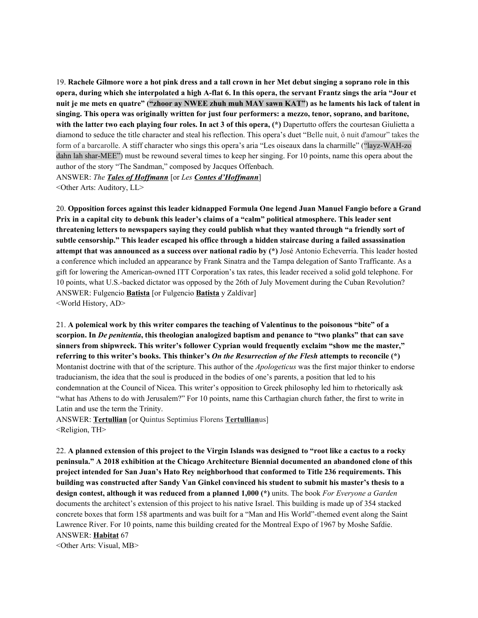19. Rachele Gilmore wore a hot pink dress and a tall crown in her Met debut singing a soprano role in this opera, during which she interpolated a high A-flat 6. In this opera, the servant Frantz sings the aria "Jour et nuit je me mets en quatre" ("zhoor ay NWEE zhuh muh MAY sawn KAT") as he laments his lack of talent in **singing. This opera was originally written for just four performers: a mezzo, tenor, soprano, and baritone, with the latter two each playing four roles. In act 3 of this opera, (\*)** Dapertutto offers the courtesan Giulietta a diamond to seduce the title character and steal his reflection. This opera's duet "Belle nuit, ô nuit d'amour" takes the form of a barcarolle. A stiff character who sings this opera's aria "Les oiseaux dans la charmille" ("layz-WAH-zo dahn lah shar-MEE") must be rewound several times to keep her singing. For 10 points, name this opera about the author of the story "The Sandman," composed by Jacques Offenbach. ANSWER: *The Tales of Hof mann* [or *Les Contes d'Hof mann*]

<Other Arts: Auditory, LL>

20. **Opposition forces against this leader kidnapped Formula One legend Juan Manuel Fangio before a Grand** Prix in a capital city to debunk this leader's claims of a "calm" political atmosphere. This leader sent **threatening letters to newspapers saying they could publish what they wanted through "a friendly sort of subtle censorship." This leader escaped his office through a hidden staircase during a failed assassination attempt that was announced as a success over national radio by (\*)** José Antonio Echeverría. This leader hosted a conference which included an appearance by Frank Sinatra and the Tampa delegation of Santo Trafficante. As a gift for lowering the American-owned ITT Corporation's tax rates, this leader received a solid gold telephone. For 10 points, what U.S.-backed dictator was opposed by the 26th of July Movement during the Cuban Revolution? ANSWER: Fulgencio **Batista** [or Fulgencio **Batista** y Zaldívar] <World History, AD>

21. **A polemical work by this writer compares the teaching of Valentinus to the poisonous "bite" of a scorpion. In** *De penitentia***, this theologian analogized baptism and penance to "two planks" that can save sinners from shipwreck. This writer's follower Cyprian would frequently exclaim "show me the master,"** referring to this writer's books. This thinker's On the Resurrection of the Flesh attempts to reconcile (\*) Montanist doctrine with that of the scripture. This author of the *Apologeticus* was the first major thinker to endorse traducianism, the idea that the soul is produced in the bodies of one's parents, a position that led to his condemnation at the Council of Nicea. This writer's opposition to Greek philosophy led him to rhetorically ask "what has Athens to do with Jerusalem?" For 10 points, name this Carthagian church father, the first to write in Latin and use the term the Trinity.

ANSWER: **Tertullian** [or Quintus Septimius Florens **Tertullian**us] <Religion, TH>

22. A planned extension of this project to the Virgin Islands was designed to "root like a cactus to a rocky **peninsula." A 2018 exhibition at the Chicago Architecture Biennial documented an abandoned clone of this project intended for San Juan's Hato Rey neighborhood that conformed to Title 236 requirements. This building was constructed after Sandy Van Ginkel convinced his student to submit his master's thesis to a design contest, although it was reduced from a planned 1,000 (\*)** units. The book *For Everyone a Garden* documents the architect's extension of this project to his native Israel. This building is made up of 354 stacked concrete boxes that form 158 apartments and was built for a "Man and His World"-themed event along the Saint Lawrence River. For 10 points, name this building created for the Montreal Expo of 1967 by Moshe Safdie. ANSWER: **Habitat** 67

<Other Arts: Visual, MB>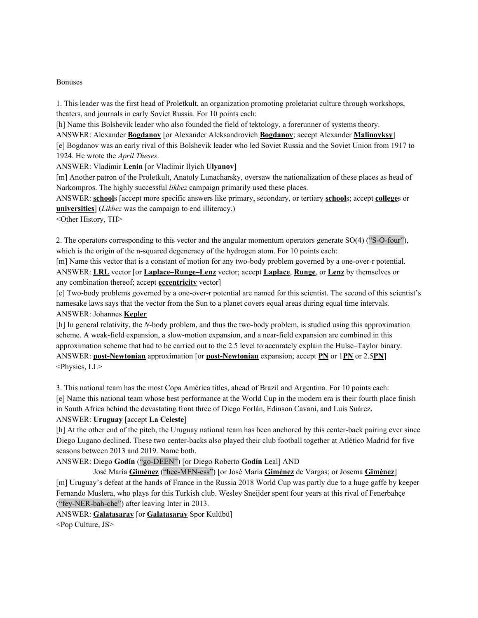#### Bonuses

1. This leader was the first head of Proletkult, an organization promoting proletariat culture through workshops, theaters, and journals in early Soviet Russia. For 10 points each:

[h] Name this Bolshevik leader who also founded the field of tektology, a forerunner of systems theory.

ANSWER: Alexander **Bogdanov** [or Alexander Aleksandrovich **Bogdanov**; accept Alexander **Malinovksy**] [e] Bogdanov was an early rival of this Bolshevik leader who led Soviet Russia and the Soviet Union from 1917 to 1924. He wrote the *April Theses*.

ANSWER: Vladimir **Lenin** [or Vladimir Ilyich **Ulyanov**]

[m] Another patron of the Proletkult, Anatoly Lunacharsky, oversaw the nationalization of these places as head of Narkompros. The highly successful *likbez* campaign primarily used these places.

ANSWER: **school**s [accept more specific answers like primary, secondary, or tertiary **school**s; accept **college**s or **universities**] (*Likbez* was the campaign to end illiteracy.)

<Other History, TH>

2. The operators corresponding to this vector and the angular momentum operators generate SO(4) ("S-O-four"), which is the origin of the n-squared degeneracy of the hydrogen atom. For 10 points each:

[m] Name this vector that is a constant of motion for any two-body problem governed by a one-over-r potential. ANSWER: **LRL** vector [or **Laplace–Runge–Lenz** vector; accept **Laplace**, **Runge**, or **Lenz** by themselves or any combination thereof; accept **eccentricity** vector]

[e] Two-body problems governed by a one-over-r potential are named for this scientist. The second of this scientist's namesake laws says that the vector from the Sun to a planet covers equal areas during equal time intervals. ANSWER: Johannes **Kepler**

[h] In general relativity, the *N*-body problem, and thus the two-body problem, is studied using this approximation scheme. A weak-field expansion, a slow-motion expansion, and a near-field expansion are combined in this approximation scheme that had to be carried out to the 2.5 level to accurately explain the Hulse–Taylor binary. ANSWER: **post-Newtonian** approximation [or **post-Newtonian** expansion; accept **PN** or 1**PN** or 2.5**PN**] <Physics, LL>

3. This national team has the most Copa América titles, ahead of Brazil and Argentina. For 10 points each: [e] Name this national team whose best performance at the World Cup in the modern era is their fourth place finish in South Africa behind the devastating front three of Diego Forlán, Edinson Cavani, and Luis Suárez.

# ANSWER: **Uruguay** [accept **La Celeste**]

[h] At the other end of the pitch, the Uruguay national team has been anchored by this center-back pairing ever since Diego Lugano declined. These two center-backs also played their club football together at Atlético Madrid for five seasons between 2013 and 2019. Name both.

ANSWER: Diego **Godín** ("go-DEEN") [or Diego Roberto **Godín** Leal] AND

José María **Giménez** ("hee-MEN-ess") [or José María **Giménez** de Vargas; or Josema **Giménez**] [m] Uruguay's defeat at the hands of France in the Russia 2018 World Cup was partly due to a huge gaffe by keeper Fernando Muslera, who plays for this Turkish club. Wesley Sneijder spent four years at this rival of Fenerbahçe ("fey-NER-bah-che") after leaving Inter in 2013.

ANSWER: **Galatasaray** [or **Galatasaray** Spor Kulübü]

<Pop Culture, JS>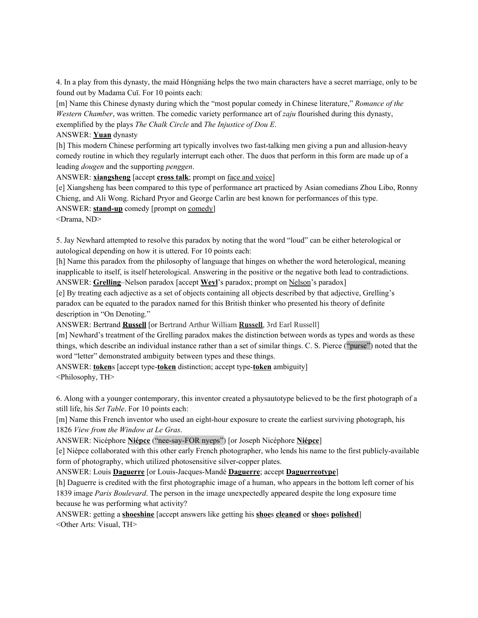4. In a play from this dynasty, the maid Hóngniáng helps the two main characters have a secret marriage, only to be found out by Madama Cuī. For 10 points each:

[m] Name this Chinese dynasty during which the "most popular comedy in Chinese literature," *Romance of the Western Chamber*, was written. The comedic variety performance art of *zaju* flourished during this dynasty, exemplified by the plays *The Chalk Circle* and *The Injustice of Dou E*.

#### ANSWER: **Yuan** dynasty

[h] This modern Chinese performing art typically involves two fast-talking men giving a pun and allusion-heavy comedy routine in which they regularly interrupt each other. The duos that perform in this form are made up of a leading *dougen* and the supporting *penggen*.

ANSWER: **xiangsheng** [accept **cross talk**; prompt on face and voice]

[e] Xiangsheng has been compared to this type of performance art practiced by Asian comedians Zhou Libo, Ronny Chieng, and Ali Wong. Richard Pryor and George Carlin are best known for performances of this type.

ANSWER: **stand-up** comedy [prompt on comedy]

<Drama, ND>

5. Jay Newhard attempted to resolve this paradox by noting that the word "loud" can be either heterological or autological depending on how it is uttered. For 10 points each:

[h] Name this paradox from the philosophy of language that hinges on whether the word heterological, meaning inapplicable to itself, is itself heterological. Answering in the positive or the negative both lead to contradictions. ANSWER: **Grelling**–Nelson paradox [accept **Weyl**'s paradox; prompt on Nelson's paradox]

[e] By treating each adjective as a set of objects containing all objects described by that adjective, Grelling's paradox can be equated to the paradox named for this British thinker who presented his theory of definite description in "On Denoting."

ANSWER: Bertrand **Russell** [or Bertrand Arthur William **Russell**, 3rd Earl Russell]

[m] Newhard's treatment of the Grelling paradox makes the distinction between words as types and words as these things, which describe an individual instance rather than a set of similar things. C. S. Pierce ("purse") noted that the word "letter" demonstrated ambiguity between types and these things.

ANSWER: **token**s [accept type-**token** distinction; accept type-**token** ambiguity] <Philosophy, TH>

6. Along with a younger contemporary, this inventor created a physautotype believed to be the first photograph of a still life, his *Set Table*. For 10 points each:

[m] Name this French inventor who used an eight-hour exposure to create the earliest surviving photograph, his 1826 *View from the Window at Le Gras*.

ANSWER: Nicéphore **Niépce** ("nee-say-FOR nyeps") [or Joseph Nicéphore **Niépce**]

[e] Niépce collaborated with this other early French photographer, who lends his name to the first publicly-available form of photography, which utilized photosensitive silver-copper plates.

ANSWER: Louis **Daguerre** [or Louis-Jacques-Mandé **Daguerre**; accept **Daguerreotype**]

[h] Daguerre is credited with the first photographic image of a human, who appears in the bottom left corner of his 1839 image *Paris Boulevard*. The person in the image unexpectedly appeared despite the long exposure time because he was performing what activity?

ANSWER: getting a **shoeshine** [accept answers like getting his **shoe**s **cleaned** or **shoe**s **polished**] <Other Arts: Visual, TH>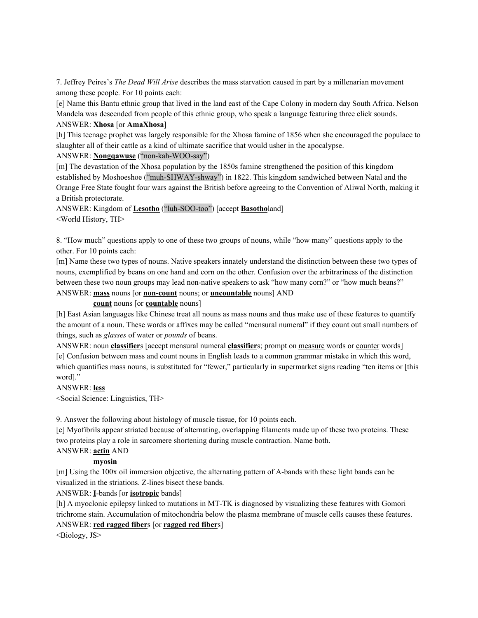7. Jeffrey Peires's *The Dead Will Arise* describes the mass starvation caused in part by a millenarian movement among these people. For 10 points each:

[e] Name this Bantu ethnic group that lived in the land east of the Cape Colony in modern day South Africa. Nelson Mandela was descended from people of this ethnic group, who speak a language featuring three click sounds. ANSWER: **Xhosa** [or **AmaXhosa**]

[h] This teenage prophet was largely responsible for the Xhosa famine of 1856 when she encouraged the populace to slaughter all of their cattle as a kind of ultimate sacrifice that would usher in the apocalypse.

ANSWER: **Nongqawuse** ("non-kah-WOO-say")

[m] The devastation of the Xhosa population by the 1850s famine strengthened the position of this kingdom established by Moshoeshoe ("muh-SHWAY-shway") in 1822. This kingdom sandwiched between Natal and the Orange Free State fought four wars against the British before agreeing to the Convention of Aliwal North, making it a British protectorate.

ANSWER: Kingdom of **Lesotho** ("luh-SOO-too") [accept **Basotho**land] <World History, TH>

8. "How much" questions apply to one of these two groups of nouns, while "how many" questions apply to the other. For 10 points each:

[m] Name these two types of nouns. Native speakers innately understand the distinction between these two types of nouns, exemplified by beans on one hand and corn on the other. Confusion over the arbitrariness of the distinction between these two noun groups may lead non-native speakers to ask "how many corn?" or "how much beans?" ANSWER: **mass** nouns [or **non-count** nouns; or **uncountable** nouns] AND

**count** nouns [or **countable** nouns]

[h] East Asian languages like Chinese treat all nouns as mass nouns and thus make use of these features to quantify the amount of a noun. These words or affixes may be called "mensural numeral" if they count out small numbers of things, such as *glasses* of water or *pounds* of beans.

ANSWER: noun **classifier**s [accept mensural numeral **classifier**s; prompt on measure words or counter words] [e] Confusion between mass and count nouns in English leads to a common grammar mistake in which this word, which quantifies mass nouns, is substituted for "fewer," particularly in supermarket signs reading "ten items or [this word]."

ANSWER: **less**

<Social Science: Linguistics, TH>

9. Answer the following about histology of muscle tissue, for 10 points each.

[e] Myofibrils appear striated because of alternating, overlapping filaments made up of these two proteins. These two proteins play a role in sarcomere shortening during muscle contraction. Name both.

# ANSWER: **actin** AND

# **myosin**

[m] Using the 100x oil immersion objective, the alternating pattern of A-bands with these light bands can be visualized in the striations. Z-lines bisect these bands.

ANSWER: **I**-bands [or **isotropic** bands]

[h] A myoclonic epilepsy linked to mutations in MT-TK is diagnosed by visualizing these features with Gomori trichrome stain. Accumulation of mitochondria below the plasma membrane of muscle cells causes these features. ANSWER: **red ragged fiber**s [or **ragged red fiber**s]

<Biology, JS>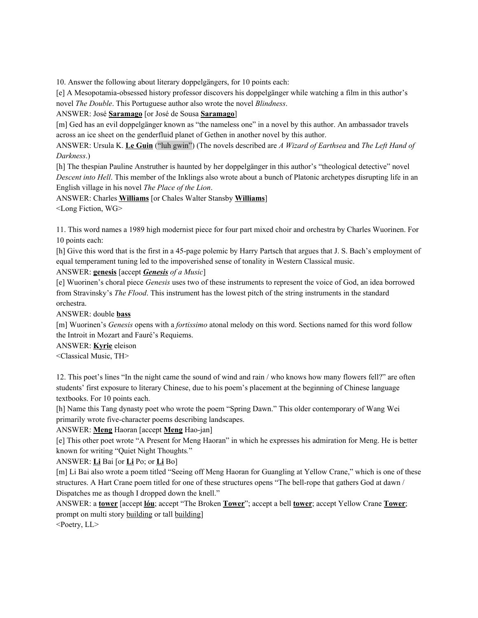10. Answer the following about literary doppelgängers, for 10 points each:

[e] A Mesopotamia-obsessed history professor discovers his doppelgänger while watching a film in this author's novel *The Double*. This Portuguese author also wrote the novel *Blindness*.

ANSWER: José **Saramago** [or José de Sousa **Saramago**]

[m] Ged has an evil doppelgänger known as "the nameless one" in a novel by this author. An ambassador travels across an ice sheet on the genderfluid planet of Gethen in another novel by this author.

ANSWER: Ursula K. **Le Guin** ("luh gwin") (The novels described are *A Wizard of Earthsea* and *The Left Hand of Darkness*.)

[h] The thespian Pauline Anstruther is haunted by her doppelgänger in this author's "theological detective" novel *Descent into Hell*. This member of the Inklings also wrote about a bunch of Platonic archetypes disrupting life in an English village in his novel *The Place of the Lion*.

ANSWER: Charles **Williams** [or Chales Walter Stansby **Williams**]

<Long Fiction, WG>

11. This word names a 1989 high modernist piece for four part mixed choir and orchestra by Charles Wuorinen. For 10 points each:

[h] Give this word that is the first in a 45-page polemic by Harry Partsch that argues that J. S. Bach's employment of equal temperament tuning led to the impoverished sense of tonality in Western Classical music.

ANSWER: **genesis** [accept *Genesis of a Music*]

[e] Wuorinen's choral piece *Genesis* uses two of these instruments to represent the voice of God, an idea borrowed from Stravinsky's *The Flood*. This instrument has the lowest pitch of the string instruments in the standard orchestra.

ANSWER: double **bass**

[m] Wuorinen's *Genesis* opens with a *fortissimo* atonal melody on this word. Sections named for this word follow the Introit in Mozart and Fauré's Requiems.

ANSWER: **Kyrie** eleison

<Classical Music, TH>

12. This poet's lines "In the night came the sound of wind and rain / who knows how many flowers fell?" are often students' first exposure to literary Chinese, due to his poem's placement at the beginning of Chinese language textbooks. For 10 points each.

[h] Name this Tang dynasty poet who wrote the poem "Spring Dawn." This older contemporary of Wang Wei primarily wrote five-character poems describing landscapes.

ANSWER: **Meng** Haoran [accept **Meng** Hao-jan]

[e] This other poet wrote "A Present for Meng Haoran" in which he expresses his admiration for Meng. He is better known for writing "Quiet Night Thoughts*.*"

ANSWER: **Li** Bai [or **Li** Po; or **Li** Bo]

[m] Li Bai also wrote a poem titled "Seeing off Meng Haoran for Guangling at Yellow Crane," which is one of these structures. A Hart Crane poem titled for one of these structures opens "The bell-rope that gathers God at dawn / Dispatches me as though I dropped down the knell."

ANSWER: a **tower** [accept **lóu**; accept "The Broken **Tower**"; accept a bell **tower**; accept Yellow Crane **Tower**; prompt on multi story building or tall building]

<Poetry, LL>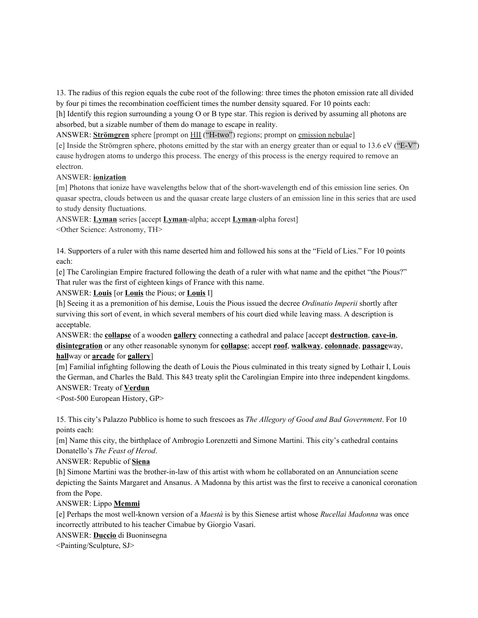13. The radius of this region equals the cube root of the following: three times the photon emission rate all divided by four pi times the recombination coefficient times the number density squared. For 10 points each:

[h] Identify this region surrounding a young O or B type star. This region is derived by assuming all photons are absorbed, but a sizable number of them do manage to escape in reality.

ANSWER: **Strömgren** sphere [prompt on HII ("H-two") regions; prompt on emission nebulae]

[e] Inside the Strömgren sphere, photons emitted by the star with an energy greater than or equal to 13.6 eV ("E-V") cause hydrogen atoms to undergo this process. The energy of this process is the energy required to remove an electron.

# ANSWER: **ionization**

[m] Photons that ionize have wavelengths below that of the short-wavelength end of this emission line series. On quasar spectra, clouds between us and the quasar create large clusters of an emission line in this series that are used to study density fluctuations.

ANSWER: **Lyman** series [accept **Lyman**-alpha; accept **Lyman**-alpha forest]

<Other Science: Astronomy, TH>

14. Supporters of a ruler with this name deserted him and followed his sons at the "Field of Lies." For 10 points each:

[e] The Carolingian Empire fractured following the death of a ruler with what name and the epithet "the Pious?" That ruler was the first of eighteen kings of France with this name.

ANSWER: **Louis** [or **Louis** the Pious; or **Louis** I]

[h] Seeing it as a premonition of his demise, Louis the Pious issued the decree *Ordinatio Imperii* shortly after surviving this sort of event, in which several members of his court died while leaving mass. A description is acceptable.

ANSWER: the **collapse** of a wooden **gallery** connecting a cathedral and palace [accept **destruction**, **cave-in**, **disintegration** or any other reasonable synonym for **collapse**; accept **roof**, **walkway**, **colonnade**, **passage**way, **hall**way or **arcade** for **gallery**]

[m] Familial infighting following the death of Louis the Pious culminated in this treaty signed by Lothair I, Louis the German, and Charles the Bald. This 843 treaty split the Carolingian Empire into three independent kingdoms. ANSWER: Treaty of **Verdun**

<Post-500 European History, GP>

15. This city's Palazzo Pubblico is home to such frescoes as *The Allegory of Good and Bad Government*. For 10 points each:

[m] Name this city, the birthplace of Ambrogio Lorenzetti and Simone Martini. This city's cathedral contains Donatello's *The Feast of Herod*.

ANSWER: Republic of **Siena**

[h] Simone Martini was the brother-in-law of this artist with whom he collaborated on an Annunciation scene depicting the Saints Margaret and Ansanus. A Madonna by this artist was the first to receive a canonical coronation from the Pope.

# ANSWER: Lippo **Memmi**

[e] Perhaps the most well-known version of a *Maestà* is by this Sienese artist whose *Rucellai Madonna* was once incorrectly attributed to his teacher Cimabue by Giorgio Vasari.

ANSWER: **Duccio** di Buoninsegna

<Painting/Sculpture, SJ>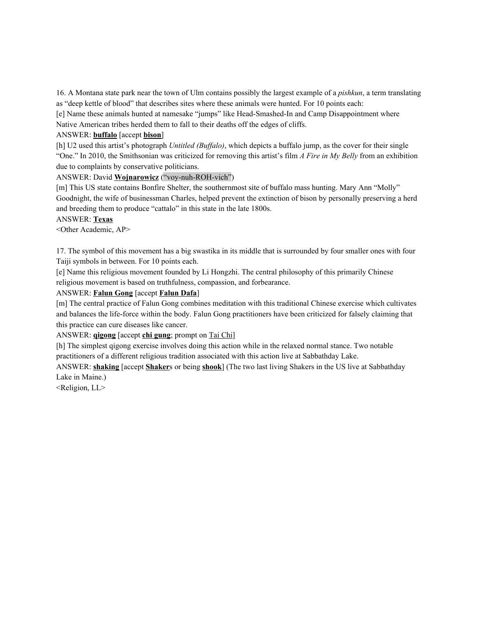16. A Montana state park near the town of Ulm contains possibly the largest example of a *pishkun*, a term translating as "deep kettle of blood" that describes sites where these animals were hunted. For 10 points each:

[e] Name these animals hunted at namesake "jumps" like Head-Smashed-In and Camp Disappointment where Native American tribes herded them to fall to their deaths off the edges of cliffs.

#### ANSWER: **buffalo** [accept **bison**]

[h] U2 used this artist's photograph *Untitled (Buffalo)*, which depicts a buffalo jump, as the cover for their single "One." In 2010, the Smithsonian was criticized for removing this artist's film *A Fire in My Belly* from an exhibition due to complaints by conservative politicians.

# ANSWER: David **Wojnarowicz** ("voy-nuh-ROH-vich")

[m] This US state contains Bonfire Shelter, the southernmost site of buffalo mass hunting. Mary Ann "Molly" Goodnight, the wife of businessman Charles, helped prevent the extinction of bison by personally preserving a herd and breeding them to produce "cattalo" in this state in the late 1800s.

# ANSWER: **Texas**

<Other Academic, AP>

17. The symbol of this movement has a big swastika in its middle that is surrounded by four smaller ones with four Taiji symbols in between. For 10 points each.

[e] Name this religious movement founded by Li Hongzhi. The central philosophy of this primarily Chinese religious movement is based on truthfulness, compassion, and forbearance.

# ANSWER: **Falun Gong** [accept **Falun Dafa**]

[m] The central practice of Falun Gong combines meditation with this traditional Chinese exercise which cultivates and balances the life-force within the body. Falun Gong practitioners have been criticized for falsely claiming that this practice can cure diseases like cancer.

#### ANSWER: **qigong** [accept **chi gung**; prompt on Tai Chi]

[h] The simplest qigong exercise involves doing this action while in the relaxed normal stance. Two notable practitioners of a different religious tradition associated with this action live at Sabbathday Lake.

ANSWER: **shaking** [accept **Shaker**s or being **shook**] (The two last living Shakers in the US live at Sabbathday Lake in Maine.)

<Religion, LL>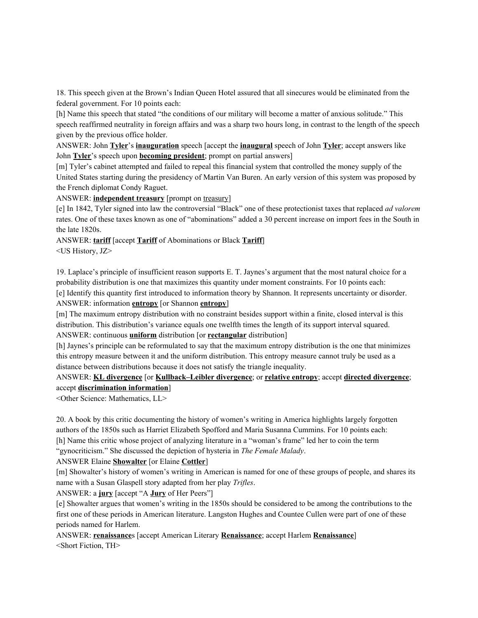18. This speech given at the Brown's Indian Queen Hotel assured that all sinecures would be eliminated from the federal government. For 10 points each:

[h] Name this speech that stated "the conditions of our military will become a matter of anxious solitude." This speech reaffirmed neutrality in foreign affairs and was a sharp two hours long, in contrast to the length of the speech given by the previous office holder.

ANSWER: John **Tyler**'s **inauguration** speech [accept the **inaugural** speech of John **Tyler**; accept answers like John **Tyler**'s speech upon **becoming president**; prompt on partial answers]

[m] Tyler's cabinet attempted and failed to repeal this financial system that controlled the money supply of the United States starting during the presidency of Martin Van Buren. An early version of this system was proposed by the French diplomat Condy Raguet.

ANSWER: **independent treasury** [prompt on treasury]

[e] In 1842, Tyler signed into law the controversial "Black" one of these protectionist taxes that replaced *ad valorem* rates. One of these taxes known as one of "abominations" added a 30 percent increase on import fees in the South in the late 1820s.

ANSWER: **tariff** [accept **Tariff** of Abominations or Black **Tariff**] <US History, JZ>

19. Laplace's principle of insufficient reason supports E. T. Jaynes's argument that the most natural choice for a probability distribution is one that maximizes this quantity under moment constraints. For 10 points each: [e] Identify this quantity first introduced to information theory by Shannon. It represents uncertainty or disorder. ANSWER: information **entropy** [or Shannon **entropy**]

[m] The maximum entropy distribution with no constraint besides support within a finite, closed interval is this distribution. This distribution's variance equals one twelfth times the length of its support interval squared. ANSWER: continuous **uniform** distribution [or **rectangular** distribution]

[h] Jaynes's principle can be reformulated to say that the maximum entropy distribution is the one that minimizes this entropy measure between it and the uniform distribution. This entropy measure cannot truly be used as a distance between distributions because it does not satisfy the triangle inequality.

# ANSWER: **KL divergence** [or **Kullback–Leibler divergence**; or **relative entropy**; accept **directed divergence**; accept **discrimination information**]

<Other Science: Mathematics, LL>

20. A book by this critic documenting the history of women's writing in America highlights largely forgotten authors of the 1850s such as Harriet Elizabeth Spofford and Maria Susanna Cummins. For 10 points each: [h] Name this critic whose project of analyzing literature in a "woman's frame" led her to coin the term

"gynocriticism." She discussed the depiction of hysteria in *The Female Malady*.

ANSWER Elaine **Showalter** [or Elaine **Cottler**]

[m] Showalter's history of women's writing in American is named for one of these groups of people, and shares its name with a Susan Glaspell story adapted from her play *Trifles*.

ANSWER: a **jury** [accept "A **Jury** of Her Peers"]

[e] Showalter argues that women's writing in the 1850s should be considered to be among the contributions to the first one of these periods in American literature. Langston Hughes and Countee Cullen were part of one of these periods named for Harlem.

ANSWER: **renaissance**s [accept American Literary **Renaissance**; accept Harlem **Renaissance**] <Short Fiction, TH>